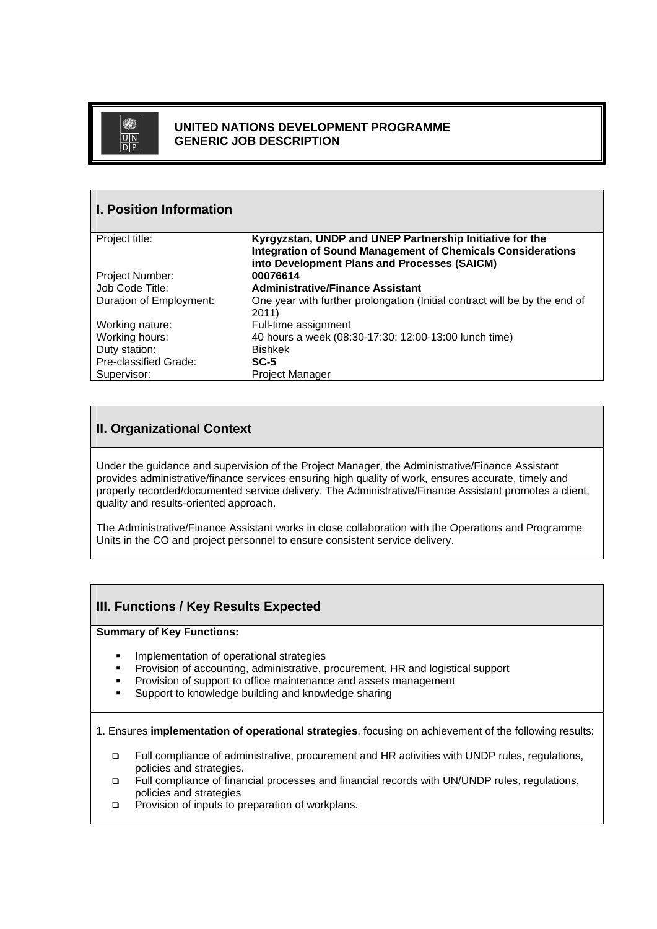

### **UNITED NATIONS DEVELOPMENT PROGRAMME GENERIC JOB DESCRIPTION**

| <b>I. Position Information</b> |                                                                                                                                                                                |
|--------------------------------|--------------------------------------------------------------------------------------------------------------------------------------------------------------------------------|
| Project title:                 | Kyrgyzstan, UNDP and UNEP Partnership Initiative for the<br><b>Integration of Sound Management of Chemicals Considerations</b><br>into Development Plans and Processes (SAICM) |
| <b>Project Number:</b>         | 00076614                                                                                                                                                                       |
| Job Code Title:                | <b>Administrative/Finance Assistant</b>                                                                                                                                        |
| Duration of Employment:        | One year with further prolongation (Initial contract will be by the end of<br>2011)                                                                                            |
| Working nature:                | Full-time assignment                                                                                                                                                           |
| Working hours:                 | 40 hours a week (08:30-17:30; 12:00-13:00 lunch time)                                                                                                                          |
| Duty station:                  | <b>Bishkek</b>                                                                                                                                                                 |
| Pre-classified Grade:          | $SC-5$                                                                                                                                                                         |
| Supervisor:                    | Project Manager                                                                                                                                                                |

# **II. Organizational Context**

Under the guidance and supervision of the Project Manager, the Administrative/Finance Assistant provides administrative/finance services ensuring high quality of work, ensures accurate, timely and properly recorded/documented service delivery. The Administrative/Finance Assistant promotes a client, quality and results-oriented approach.

The Administrative/Finance Assistant works in close collaboration with the Operations and Programme Units in the CO and project personnel to ensure consistent service delivery.

# **III. Functions / Key Results Expected**

#### **Summary of Key Functions:**

- **Implementation of operational strategies**
- Provision of accounting, administrative, procurement, HR and logistical support
- **Provision of support to office maintenance and assets management**
- **Support to knowledge building and knowledge sharing**

1. Ensures **implementation of operational strategies**, focusing on achievement of the following results:

- Full compliance of administrative, procurement and HR activities with UNDP rules, regulations, policies and strategies.
- Full compliance of financial processes and financial records with UN/UNDP rules, regulations, policies and strategies
- **Provision of inputs to preparation of workplans.**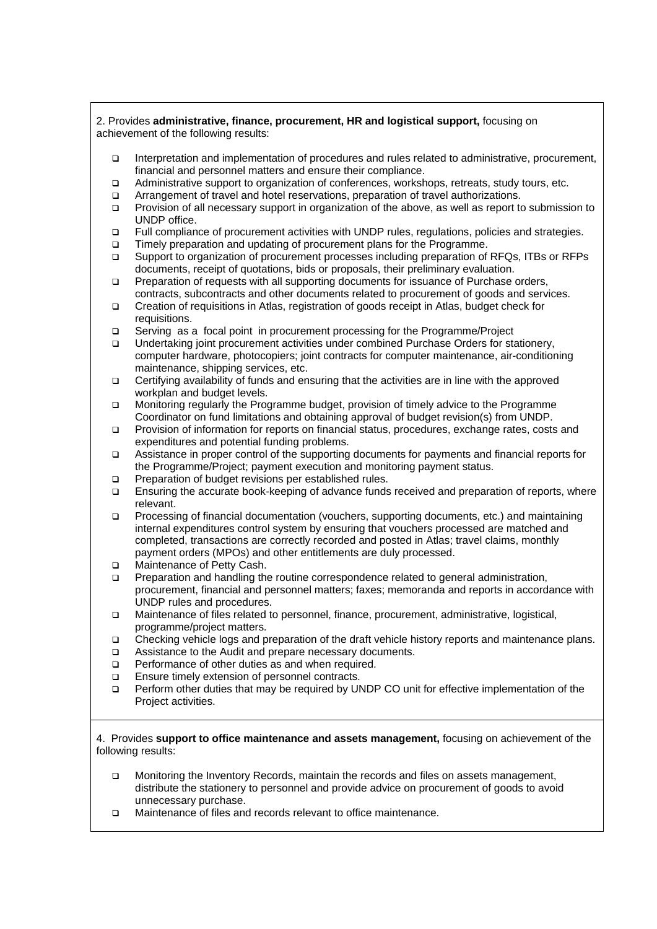2. Provides **administrative, finance, procurement, HR and logistical support,** focusing on achievement of the following results:

- Interpretation and implementation of procedures and rules related to administrative, procurement, financial and personnel matters and ensure their compliance.
- Administrative support to organization of conferences, workshops, retreats, study tours, etc.
- Arrangement of travel and hotel reservations, preparation of travel authorizations.
- Provision of all necessary support in organization of the above, as well as report to submission to UNDP office.
- Full compliance of procurement activities with UNDP rules, regulations, policies and strategies.
- Timely preparation and updating of procurement plans for the Programme.
- Support to organization of procurement processes including preparation of RFQs, ITBs or RFPs documents, receipt of quotations, bids or proposals, their preliminary evaluation.
- Preparation of requests with all supporting documents for issuance of Purchase orders, contracts, subcontracts and other documents related to procurement of goods and services.
- Creation of requisitions in Atlas, registration of goods receipt in Atlas, budget check for requisitions.
- Serving as a focal point in procurement processing for the Programme/Project
- Undertaking joint procurement activities under combined Purchase Orders for stationery, computer hardware, photocopiers; joint contracts for computer maintenance, air-conditioning maintenance, shipping services, etc.
- Certifying availability of funds and ensuring that the activities are in line with the approved workplan and budget levels.
- Monitoring regularly the Programme budget, provision of timely advice to the Programme Coordinator on fund limitations and obtaining approval of budget revision(s) from UNDP.
- Provision of information for reports on financial status, procedures, exchange rates, costs and expenditures and potential funding problems.
- Assistance in proper control of the supporting documents for payments and financial reports for the Programme/Project; payment execution and monitoring payment status.
- **Preparation of budget revisions per established rules.**
- Ensuring the accurate book-keeping of advance funds received and preparation of reports, where relevant.
- Processing of financial documentation (vouchers, supporting documents, etc.) and maintaining internal expenditures control system by ensuring that vouchers processed are matched and completed, transactions are correctly recorded and posted in Atlas; travel claims, monthly payment orders (MPOs) and other entitlements are duly processed.
- □ Maintenance of Petty Cash.
- Preparation and handling the routine correspondence related to general administration, procurement, financial and personnel matters; faxes; memoranda and reports in accordance with UNDP rules and procedures.
- Maintenance of files related to personnel, finance, procurement, administrative, logistical, programme/project matters.
- Checking vehicle logs and preparation of the draft vehicle history reports and maintenance plans.
- □ Assistance to the Audit and prepare necessary documents.
- $\Box$  Performance of other duties as and when required.
- Ensure timely extension of personnel contracts.
- Perform other duties that may be required by UNDP CO unit for effective implementation of the Project activities.

#### 4. Provides **support to office maintenance and assets management,** focusing on achievement of the following results:

- Monitoring the Inventory Records, maintain the records and files on assets management, distribute the stationery to personnel and provide advice on procurement of goods to avoid unnecessary purchase.
- □ Maintenance of files and records relevant to office maintenance.